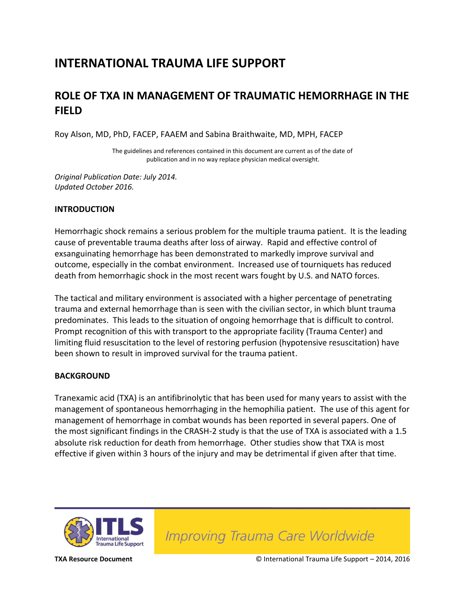## **INTERNATIONAL TRAUMA LIFE SUPPORT**

### **ROLE OF TXA IN MANAGEMENT OF TRAUMATIC HEMORRHAGE IN THE FIELD**

Roy Alson, MD, PhD, FACEP, FAAEM and Sabina Braithwaite, MD, MPH, FACEP

The guidelines and references contained in this document are current as of the date of publication and in no way replace physician medical oversight.

*Original Publication Date: July 2014. Updated October 2016.*

#### **INTRODUCTION**

Hemorrhagic shock remains a serious problem for the multiple trauma patient. It is the leading cause of preventable trauma deaths after loss of airway. Rapid and effective control of exsanguinating hemorrhage has been demonstrated to markedly improve survival and outcome, especially in the combat environment. Increased use of tourniquets has reduced death from hemorrhagic shock in the most recent wars fought by U.S. and NATO forces.

The tactical and military environment is associated with a higher percentage of penetrating trauma and external hemorrhage than is seen with the civilian sector, in which blunt trauma predominates. This leads to the situation of ongoing hemorrhage that is difficult to control. Prompt recognition of this with transport to the appropriate facility (Trauma Center) and limiting fluid resuscitation to the level of restoring perfusion (hypotensive resuscitation) have been shown to result in improved survival for the trauma patient.

#### **BACKGROUND**

Tranexamic acid (TXA) is an antifibrinolytic that has been used for many years to assist with the management of spontaneous hemorrhaging in the hemophilia patient. The use of this agent for management of hemorrhage in combat wounds has been reported in several papers. One of the most significant findings in the CRASH-2 study is that the use of TXA is associated with a 1.5 absolute risk reduction for death from hemorrhage. Other studies show that TXA is most effective if given within 3 hours of the injury and may be detrimental if given after that time.



Improving Trauma Care Worldwide

**TXA Resource Document** © International Trauma Life Support – 2014, 2016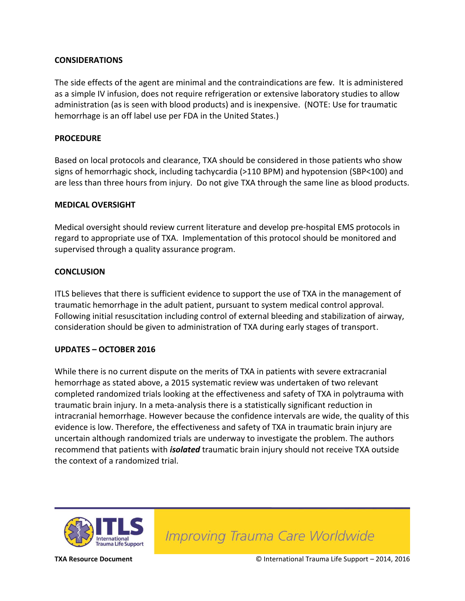#### **CONSIDERATIONS**

The side effects of the agent are minimal and the contraindications are few. It is administered as a simple IV infusion, does not require refrigeration or extensive laboratory studies to allow administration (as is seen with blood products) and is inexpensive. (NOTE: Use for traumatic hemorrhage is an off label use per FDA in the United States.)

#### **PROCEDURE**

Based on local protocols and clearance, TXA should be considered in those patients who show signs of hemorrhagic shock, including tachycardia (>110 BPM) and hypotension (SBP<100) and are less than three hours from injury. Do not give TXA through the same line as blood products.

#### **MEDICAL OVERSIGHT**

Medical oversight should review current literature and develop pre-hospital EMS protocols in regard to appropriate use of TXA. Implementation of this protocol should be monitored and supervised through a quality assurance program.

#### **CONCLUSION**

ITLS believes that there is sufficient evidence to support the use of TXA in the management of traumatic hemorrhage in the adult patient, pursuant to system medical control approval. Following initial resuscitation including control of external bleeding and stabilization of airway, consideration should be given to administration of TXA during early stages of transport.

#### **UPDATES – OCTOBER 2016**

While there is no current dispute on the merits of TXA in patients with severe extracranial hemorrhage as stated above, a 2015 systematic review was undertaken of two relevant completed randomized trials looking at the effectiveness and safety of TXA in polytrauma with traumatic brain injury. In a meta-analysis there is a statistically significant reduction in intracranial hemorrhage. However because the confidence intervals are wide, the quality of this evidence is low. Therefore, the effectiveness and safety of TXA in traumatic brain injury are uncertain although randomized trials are underway to investigate the problem. The authors recommend that patients with *isolated* traumatic brain injury should not receive TXA outside the context of a randomized trial.



Improving Trauma Care Worldwide

**TXA Resource Document** © International Trauma Life Support – 2014, 2016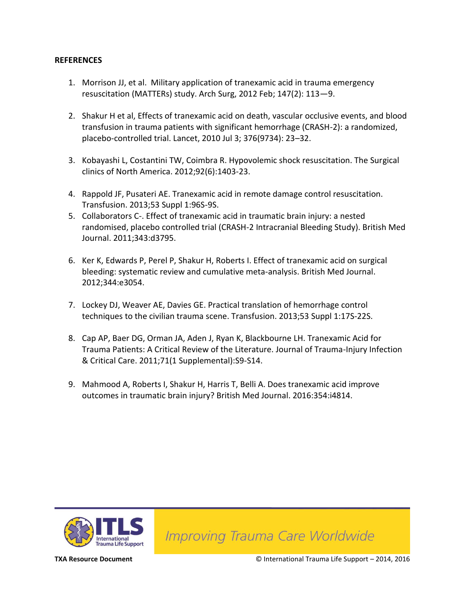#### **REFERENCES**

- 1. Morrison JJ, et al. Military application of tranexamic acid in trauma emergency resuscitation (MATTERs) study. Arch Surg, 2012 Feb; 147(2): 113—9.
- 2. Shakur H et al, Effects of tranexamic acid on death, vascular occlusive events, and blood transfusion in trauma patients with significant hemorrhage (CRASH-2): a randomized, placebo-controlled trial. Lancet, 2010 Jul 3; 376(9734): 23–32.
- 3. Kobayashi L, Costantini TW, Coimbra R. Hypovolemic shock resuscitation. The Surgical clinics of North America. 2012;92(6):1403-23.
- 4. Rappold JF, Pusateri AE. Tranexamic acid in remote damage control resuscitation. Transfusion. 2013;53 Suppl 1:96S-9S.
- 5. Collaborators C-. Effect of tranexamic acid in traumatic brain injury: a nested randomised, placebo controlled trial (CRASH-2 Intracranial Bleeding Study). British Med Journal. 2011;343:d3795.
- 6. Ker K, Edwards P, Perel P, Shakur H, Roberts I. Effect of tranexamic acid on surgical bleeding: systematic review and cumulative meta-analysis. British Med Journal. 2012;344:e3054.
- 7. Lockey DJ, Weaver AE, Davies GE. Practical translation of hemorrhage control techniques to the civilian trauma scene. Transfusion. 2013;53 Suppl 1:17S-22S.
- 8. Cap AP, Baer DG, Orman JA, Aden J, Ryan K, Blackbourne LH. Tranexamic Acid for Trauma Patients: A Critical Review of the Literature. Journal of Trauma-Injury Infection & Critical Care. 2011;71(1 Supplemental):S9-S14.
- 9. Mahmood A, Roberts I, Shakur H, Harris T, Belli A. Does tranexamic acid improve outcomes in traumatic brain injury? British Med Journal. 2016:354:i4814.



**Improving Trauma Care Worldwide** 

**TXA Resource Document** © International Trauma Life Support – 2014, 2016